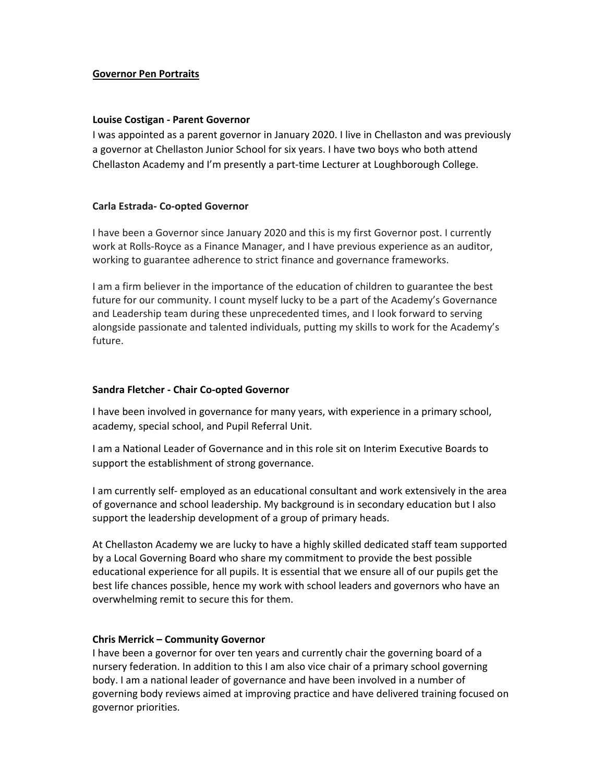## **Governor Pen Portraits**

## **Louise Costigan ‐ Parent Governor**

I was appointed as a parent governor in January 2020. I live in Chellaston and was previously a governor at Chellaston Junior School for six years. I have two boys who both attend Chellaston Academy and I'm presently a part‐time Lecturer at Loughborough College.

# **Carla Estrada‐ Co‐opted Governor**

I have been a Governor since January 2020 and this is my first Governor post. I currently work at Rolls‐Royce as a Finance Manager, and I have previous experience as an auditor, working to guarantee adherence to strict finance and governance frameworks.

I am a firm believer in the importance of the education of children to guarantee the best future for our community. I count myself lucky to be a part of the Academy's Governance and Leadership team during these unprecedented times, and I look forward to serving alongside passionate and talented individuals, putting my skills to work for the Academy's future.

#### **Sandra Fletcher ‐ Chair Co‐opted Governor**

I have been involved in governance for many years, with experience in a primary school, academy, special school, and Pupil Referral Unit.

I am a National Leader of Governance and in this role sit on Interim Executive Boards to support the establishment of strong governance.

I am currently self‐ employed as an educational consultant and work extensively in the area of governance and school leadership. My background is in secondary education but I also support the leadership development of a group of primary heads.

At Chellaston Academy we are lucky to have a highly skilled dedicated staff team supported by a Local Governing Board who share my commitment to provide the best possible educational experience for all pupils. It is essential that we ensure all of our pupils get the best life chances possible, hence my work with school leaders and governors who have an overwhelming remit to secure this for them.

#### **Chris Merrick – Community Governor**

I have been a governor for over ten years and currently chair the governing board of a nursery federation. In addition to this I am also vice chair of a primary school governing body. I am a national leader of governance and have been involved in a number of governing body reviews aimed at improving practice and have delivered training focused on governor priorities.